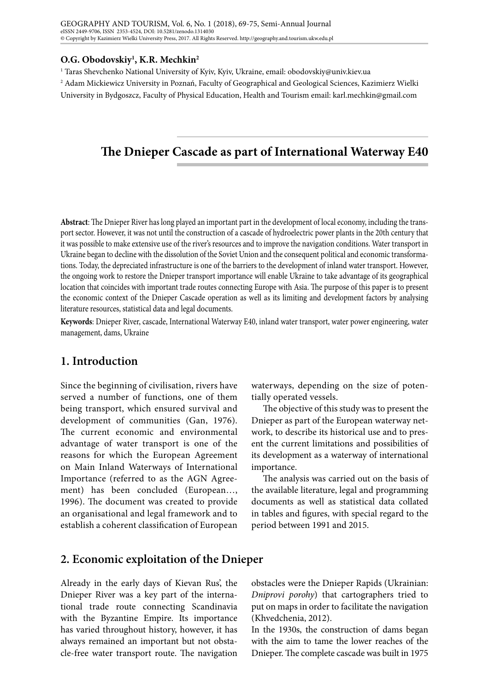#### **O.G. Obodovskiy1 , K.R. Mechkin2**

1 Taras Shevchenko National University of Kyiv, Kyiv, Ukraine, email: [obodovskiy@univ.kiev.ua](mailto:obodovskiy@univ.kiev.ua)

2 Adam Mickiewicz University in Poznań, Faculty of Geographical and Geological Sciences, Kazimierz Wielki University in Bydgoszcz, Faculty of Physical Education, Health and Tourism email: [karl.mechkin@gmail.com](mailto:karl.mechkin@gmail.com)

# **The Dnieper Cascade as part of International Waterway E40**

**Abstract**: The Dnieper River has long played an important part in the development of local economy, including the transport sector. However, it was not until the construction of a cascade of hydroelectric power plants in the 20th century that it was possible to make extensive use of the river's resources and to improve the navigation conditions. Water transport in Ukraine began to decline with the dissolution of the Soviet Union and the consequent political and economic transformations. Today, the depreciated infrastructure is one of the barriers to the development of inland water transport. However, the ongoing work to restore the Dnieper transport importance will enable Ukraine to take advantage of its geographical location that coincides with important trade routes connecting Europe with Asia. The purpose of this paper is to present the economic context of the Dnieper Cascade operation as well as its limiting and development factors by analysing literature resources, statistical data and legal documents.

**Keywords**: Dnieper River, cascade, International Waterway E40, inland water transport, water power engineering, water management, dams, Ukraine

# **1. Introduction**

Since the beginning of civilisation, rivers have served a number of functions, one of them being transport, which ensured survival and development of communities (Gan, 1976). The current economic and environmental advantage of water transport is one of the reasons for which the European Agreement on Main Inland Waterways of International Importance (referred to as the AGN Agreement) has been concluded (European…, 1996). The document was created to provide an organisational and legal framework and to establish a coherent classification of European

waterways, depending on the size of potentially operated vessels.

The objective of this study was to present the Dnieper as part of the European waterway network, to describe its historical use and to present the current limitations and possibilities of its development as a waterway of international importance.

The analysis was carried out on the basis of the available literature, legal and programming documents as well as statistical data collated in tables and figures, with special regard to the period between 1991 and 2015.

#### **2. Economic exploitation of the Dnieper**

Already in the early days of Kievan Rus', the Dnieper River was a key part of the international trade route connecting Scandinavia with the Byzantine Empire. Its importance has varied throughout history, however, it has always remained an important but not obstacle-free water transport route. The navigation

obstacles were the Dnieper Rapids (Ukrainian: *Dniprovi porohy*) that cartographers tried to put on maps in order to facilitate the navigation (Khvedchenia, 2012).

In the 1930s, the construction of dams began with the aim to tame the lower reaches of the Dnieper. The complete cascade was built in 1975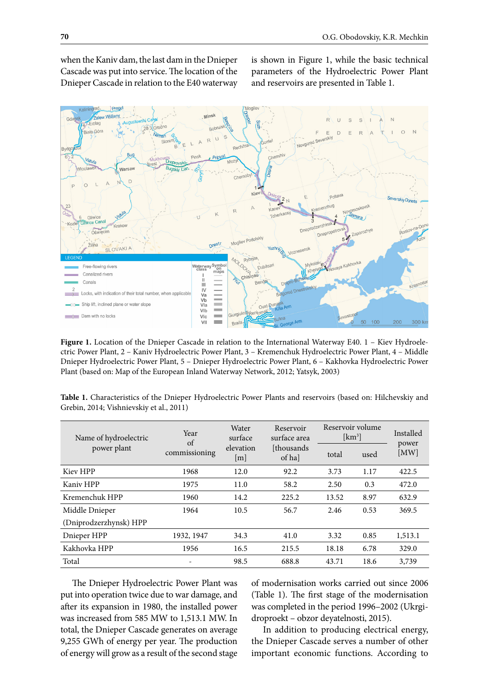when the Kaniv dam, the last dam in the Dnieper Cascade was put into service. The location of the Dnieper Cascade in relation to the E40 waterway

is shown in Figure 1, while the basic technical parameters of the Hydroelectric Power Plant and reservoirs are presented in Table 1.



Figure 1. Location of the Dnieper Cascade in relation to the International Waterway E40. 1 – Kiev Hydroelectric Power Plant, 2 – Kaniv Hydroelectric Power Plant, 3 – Kremenchuk Hydroelectric Power Plant, 4 – Middle Dnieper Hydroelectric Power Plant, 5 – Dnieper Hydroelectric Power Plant, 6 – Kakhovka Hydroelectric Power Plant (based on: Map of the European Inland Waterway Network, 2012; Yatsyk, 2003)

| Table 1. Characteristics of the Dnieper Hydroelectric Power Plants and reservoirs (based on: Hilchevskiy and |  |  |  |  |  |
|--------------------------------------------------------------------------------------------------------------|--|--|--|--|--|
| Grebin, 2014; Vishnievskiy et al., 2011)                                                                     |  |  |  |  |  |

| Name of hydroelectric  | Year<br>of    | Water<br>surface | Reservoir<br>surface area | Reservoir volume<br>$[km^3]$ |      | Installed     |  |
|------------------------|---------------|------------------|---------------------------|------------------------------|------|---------------|--|
| power plant            | commissioning | elevation<br>[m] | [thousands]<br>of ha      | total                        | used | power<br>[MW] |  |
| Kiev HPP               | 1968          | 12.0             | 92.2                      | 3.73                         | 1.17 | 422.5         |  |
| Kaniv HPP              | 1975          | 11.0             | 58.2                      | 2.50                         | 0.3  | 472.0         |  |
| Kremenchuk HPP         | 1960          | 14.2             | 225.2                     | 13.52                        | 8.97 | 632.9         |  |
| Middle Dnieper         | 1964          | 10.5             | 56.7                      | 2.46                         | 0.53 | 369.5         |  |
| (Dniprodzerzhynsk) HPP |               |                  |                           |                              |      |               |  |
| Dnieper HPP            | 1932, 1947    | 34.3             | 41.0                      | 3.32                         | 0.85 | 1,513.1       |  |
| Kakhovka HPP           | 1956          | 16.5             | 215.5                     | 18.18                        | 6.78 | 329.0         |  |
| Total                  |               | 98.5             | 688.8                     | 43.71                        | 18.6 | 3,739         |  |

The Dnieper Hydroelectric Power Plant was put into operation twice due to war damage, and after its expansion in 1980, the installed power was increased from 585 MW to 1,513.1 MW. In total, the Dnieper Cascade generates on average 9,255 GWh of energy per year. The production of energy will grow as a result of the second stage of modernisation works carried out since 2006 (Table 1). The first stage of the modernisation was completed in the period 1996–2002 (Ukrgidroproekt – obzor deyatelnosti, 2015).

In addition to producing electrical energy, the Dnieper Cascade serves a number of other important economic functions. According to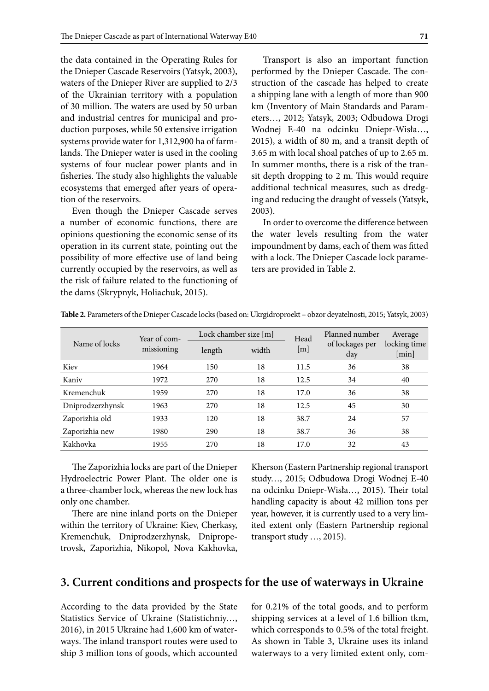the data contained in the Operating Rules for the Dnieper Cascade Reservoirs (Yatsyk, 2003), waters of the Dnieper River are supplied to 2/3 of the Ukrainian territory with a population of 30 million. The waters are used by 50 urban and industrial centres for municipal and production purposes, while 50 extensive irrigation systems provide water for 1,312,900 ha of farmlands. The Dnieper water is used in the cooling systems of four nuclear power plants and in fisheries. The study also highlights the valuable ecosystems that emerged after years of operation of the reservoirs.

Even though the Dnieper Cascade serves a number of economic functions, there are opinions questioning the economic sense of its operation in its current state, pointing out the possibility of more effective use of land being currently occupied by the reservoirs, as well as the risk of failure related to the functioning of the dams (Skrypnyk, Holiachuk, 2015).

Transport is also an important function performed by the Dnieper Cascade. The construction of the cascade has helped to create a shipping lane with a length of more than 900 km (Inventory of Main Standards and Parameters…, 2012; Yatsyk, 2003; Odbudowa Drogi Wodnej E-40 na odcinku Dniepr-Wisła…, 2015), a width of 80 m, and a transit depth of 3.65 m with local shoal patches of up to 2.65 m. In summer months, there is a risk of the transit depth dropping to 2 m. This would require additional technical measures, such as dredging and reducing the draught of vessels (Yatsyk, 2003).

In order to overcome the difference between the water levels resulting from the water impoundment by dams, each of them was fitted with a lock. The Dnieper Cascade lock parameters are provided in Table 2.

| Name of locks    | Year of com- |        | Lock chamber size $[m]$ | Head | Planned number<br>of lockages per<br>day | Average<br>locking time<br>[min] |
|------------------|--------------|--------|-------------------------|------|------------------------------------------|----------------------------------|
|                  | missioning   | length | width                   | m    |                                          |                                  |
| Kiev             | 1964         | 150    | 18                      | 11.5 | 36                                       | 38                               |
| Kaniv            | 1972         | 270    | 18                      | 12.5 | 34                                       | 40                               |
| Kremenchuk       | 1959         | 270    | 18                      | 17.0 | 36                                       | 38                               |
| Dniprodzerzhynsk | 1963         | 270    | 18                      | 12.5 | 45                                       | 30                               |
| Zaporizhia old   | 1933         | 120    | 18                      | 38.7 | 24                                       | 57                               |
| Zaporizhia new   | 1980         | 290    | 18                      | 38.7 | 36                                       | 38                               |
| Kakhovka         | 1955         | 270    | 18                      | 17.0 | 32                                       | 43                               |

**Table 2.** Parameters of the Dnieper Cascade locks (based on: Ukrgidroproekt – obzor deyatelnosti, 2015; Yatsyk, 2003)

The Zaporizhia locks are part of the Dnieper Hydroelectric Power Plant. The older one is a three-chamber lock, whereas the new lock has only one chamber.

There are nine inland ports on the Dnieper within the territory of Ukraine: Kiev, Cherkasy, Kremenchuk, Dniprodzerzhynsk, Dnipropetrovsk, Zaporizhia, Nikopol, Nova Kakhovka,

Kherson (Eastern Partnership regional transport study…, 2015; Odbudowa Drogi Wodnej E-40 na odcinku Dniepr-Wisła…, 2015). Their total handling capacity is about 42 million tons per year, however, it is currently used to a very limited extent only (Eastern Partnership regional transport study …, 2015).

#### **3. Current conditions and prospects for the use of waterways in Ukraine**

According to the data provided by the State Statistics Service of Ukraine (Statistichniy…, 2016), in 2015 Ukraine had 1,600 km of waterways. The inland transport routes were used to ship 3 million tons of goods, which accounted for 0.21% of the total goods, and to perform shipping services at a level of 1.6 billion tkm, which corresponds to 0.5% of the total freight. As shown in Table 3, Ukraine uses its inland waterways to a very limited extent only, com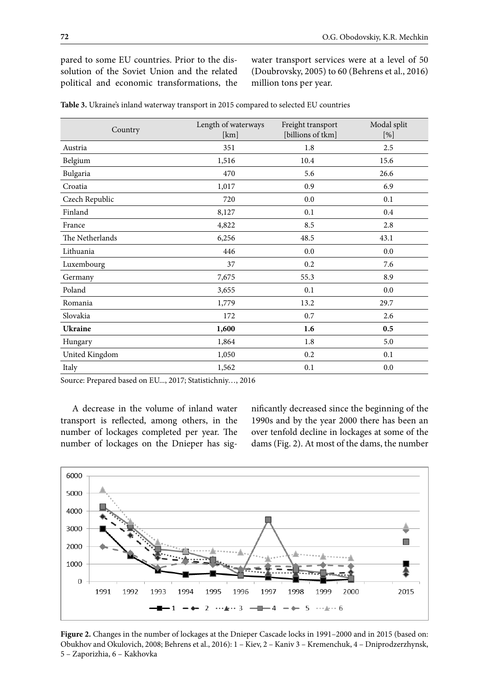pared to some EU countries. Prior to the dissolution of the Soviet Union and the related political and economic transformations, the water transport services were at a level of 50 (Doubrovsky, 2005) to 60 (Behrens et al., 2016) million tons per year.

| Country         | Length of waterways<br>[km] | Freight transport<br>[billions of tkm] | Modal split<br>[%] |
|-----------------|-----------------------------|----------------------------------------|--------------------|
| Austria         | 351                         | 1.8                                    | 2.5                |
| Belgium         | 1,516                       | 10.4                                   | 15.6               |
| Bulgaria        | 470                         | 5.6                                    | 26.6               |
| Croatia         | 1,017                       | 0.9                                    | 6.9                |
| Czech Republic  | 720                         | 0.0                                    | 0.1                |
| Finland         | 8,127                       | 0.1                                    | 0.4                |
| France          | 4,822                       | 8.5                                    | 2.8                |
| The Netherlands | 6,256                       | 48.5                                   | 43.1               |
| Lithuania       | 446                         | 0.0                                    | 0.0                |
| Luxembourg      | 37                          | 0.2                                    | 7.6                |
| Germany         | 7,675                       | 55.3                                   | 8.9                |
| Poland          | 3,655                       | 0.1                                    | 0.0                |
| Romania         | 1,779                       | 13.2                                   | 29.7               |
| Slovakia        | 172                         | 0.7                                    | 2.6                |
| <b>Ukraine</b>  | 1,600                       | 1.6                                    | 0.5                |
| Hungary         | 1,864                       | 1.8                                    | 5.0                |
| United Kingdom  | 1,050                       | 0.2                                    | 0.1                |
| Italy           | 1,562                       | 0.1                                    | 0.0                |

**Table 3.** Ukraine's inland waterway transport in 2015 compared to selected EU countries

Source: Prepared based on EU..., 2017; Statistichniy…, 2016

A decrease in the volume of inland water transport is reflected, among others, in the number of lockages completed per year. The number of lockages on the Dnieper has significantly decreased since the beginning of the 1990s and by the year 2000 there has been an over tenfold decline in lockages at some of the dams (Fig. 2). At most of the dams, the number



**Figure 2.** Changes in the number of lockages at the Dnieper Cascade locks in 1991–2000 and in 2015 (based on: Obukhov and Okulovich, 2008; Behrens et al., 2016): 1 – Kiev, 2 – Kaniv 3 – Kremenchuk, 4 – Dniprodzerzhynsk, 5 – Zaporizhia, 6 – Kakhovka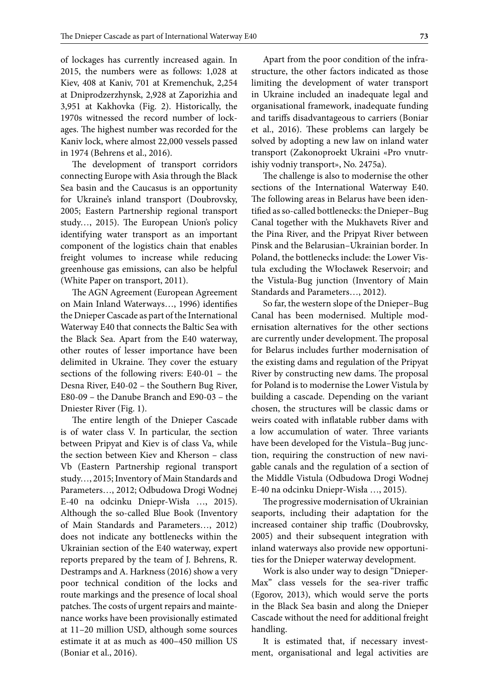of lockages has currently increased again. In 2015, the numbers were as follows: 1,028 at Kiev, 408 at Kaniv, 701 at Kremenchuk, 2,254 at Dniprodzerzhynsk, 2,928 at Zaporizhia and 3,951 at Kakhovka (Fig. 2). Historically, the 1970s witnessed the record number of lockages. The highest number was recorded for the Kaniv lock, where almost 22,000 vessels passed in 1974 (Behrens et al., 2016).

The development of transport corridors connecting Europe with Asia through the Black Sea basin and the Caucasus is an opportunity for Ukraine's inland transport (Doubrovsky, 2005; Eastern Partnership regional transport study…, 2015). The European Union's policy identifying water transport as an important component of the logistics chain that enables freight volumes to increase while reducing greenhouse gas emissions, can also be helpful (White Paper on transport, 2011).

The AGN Agreement (European Agreement on Main Inland Waterways…, 1996) identifies the Dnieper Cascade as part of the International Waterway E40 that connects the Baltic Sea with the Black Sea. Apart from the E40 waterway, other routes of lesser importance have been delimited in Ukraine. They cover the estuary sections of the following rivers: E40-01 – the Desna River, E40-02 – the Southern Bug River, E80-09 – the Danube Branch and E90-03 – the Dniester River (Fig. 1).

The entire length of the Dnieper Cascade is of water class V. In particular, the section between Pripyat and Kiev is of class Va, while the section between Kiev and Kherson – class Vb (Eastern Partnership regional transport study…, 2015; Inventory of Main Standards and Parameters…, 2012; Odbudowa Drogi Wodnej E-40 na odcinku Dniepr-Wisła …, 2015). Although the so-called Blue Book (Inventory of Main Standards and Parameters…, 2012) does not indicate any bottlenecks within the Ukrainian section of the E40 waterway, expert reports prepared by the team of J. Behrens, R. Destramps and A. Harkness (2016) show a very poor technical condition of the locks and route markings and the presence of local shoal patches. The costs of urgent repairs and maintenance works have been provisionally estimated at 11–20 million USD, although some sources estimate it at as much as 400–450 million US (Boniar et al., 2016).

Apart from the poor condition of the infrastructure, the other factors indicated as those limiting the development of water transport in Ukraine included an inadequate legal and organisational framework, inadequate funding and tariffs disadvantageous to carriers (Boniar et al., 2016). These problems can largely be solved by adopting a new law on inland water transport (Zakonoproekt Ukraini «Pro vnutrishiy vodniy transport», No. 2475а).

The challenge is also to modernise the other sections of the International Waterway E40. The following areas in Belarus have been identified as so-called bottlenecks: the Dnieper–Bug Canal together with the Mukhavets River and the Pina River, and the Pripyat River between Pinsk and the Belarusian–Ukrainian border. In Poland, the bottlenecks include: the Lower Vistula excluding the Włocławek Reservoir; and the Vistula-Bug junction (Inventory of Main Standards and Parameters…, 2012).

So far, the western slope of the Dnieper–Bug Canal has been modernised. Multiple modernisation alternatives for the other sections are currently under development. The proposal for Belarus includes further modernisation of the existing dams and regulation of the Pripyat River by constructing new dams. The proposal for Poland is to modernise the Lower Vistula by building a cascade. Depending on the variant chosen, the structures will be classic dams or weirs coated with inflatable rubber dams with a low accumulation of water. Three variants have been developed for the Vistula–Bug junction, requiring the construction of new navigable canals and the regulation of a section of the Middle Vistula (Odbudowa Drogi Wodnej E-40 na odcinku Dniepr-Wisła …, 2015).

The progressive modernisation of Ukrainian seaports, including their adaptation for the increased container ship traffic (Doubrovsky, 2005) and their subsequent integration with inland waterways also provide new opportunities for the Dnieper waterway development.

Work is also under way to design "Dnieper-Max" class vessels for the sea-river traffic (Egorov, 2013), which would serve the ports in the Black Sea basin and along the Dnieper Cascade without the need for additional freight handling.

It is estimated that, if necessary investment, organisational and legal activities are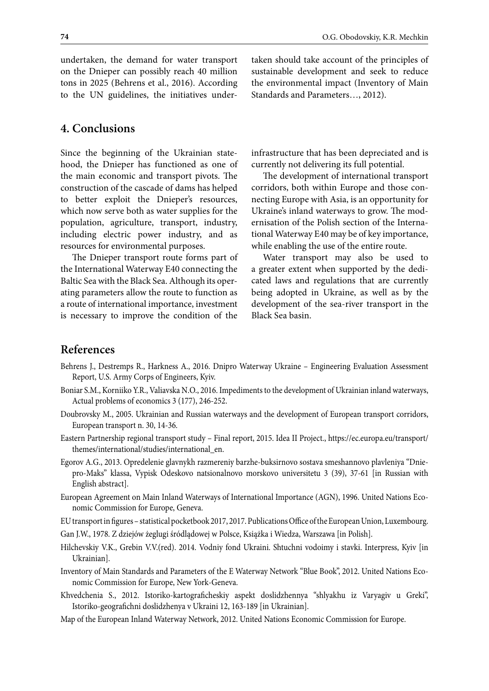undertaken, the demand for water transport on the Dnieper can possibly reach 40 million tons in 2025 (Behrens et al., 2016). According to the UN guidelines, the initiatives under-

### **4. Conclusions**

Since the beginning of the Ukrainian statehood, the Dnieper has functioned as one of the main economic and transport pivots. The construction of the cascade of dams has helped to better exploit the Dnieper's resources, which now serve both as water supplies for the population, agriculture, transport, industry, including electric power industry, and as resources for environmental purposes.

The Dnieper transport route forms part of the International Waterway E40 connecting the Baltic Sea with the Black Sea. Although its operating parameters allow the route to function as a route of international importance, investment is necessary to improve the condition of the

taken should take account of the principles of sustainable development and seek to reduce the environmental impact (Inventory of Main Standards and Parameters…, 2012).

infrastructure that has been depreciated and is currently not delivering its full potential.

The development of international transport corridors, both within Europe and those connecting Europe with Asia, is an opportunity for Ukraine's inland waterways to grow. The modernisation of the Polish section of the International Waterway E40 may be of key importance, while enabling the use of the entire route.

Water transport may also be used to a greater extent when supported by the dedicated laws and regulations that are currently being adopted in Ukraine, as well as by the development of the sea-river transport in the Black Sea basin.

## **References**

- Behrens J., Destremps R., Harkness A., 2016. Dnipro Waterway Ukraine Engineering Evaluation Assessment Report, U.S. Army Corps of Engineers, Kyiv.
- Boniar S.M., Korniiko Y.R., Valiavska N.O., 2016. Impediments to the development of Ukrainian inland waterways, Actual problems of economics 3 (177), 246-252.
- Doubrovsky M., 2005. Ukrainian and Russian waterways and the development of European transport corridors, European transport n. 30, 14-36.
- Eastern Partnership regional transport study Final report, 2015. Idea II Project., https://ec.europa.eu/transport/ themes/international/studies/international\_en.
- Egorov A.G., 2013. Opredelenie glavnykh razmereniy barzhe-buksirnovo sostava smeshannovo plavleniya "Dniepro-Maks" klassa, Vypisk Odeskovo natsionalnovo morskovo universitetu 3 (39), 37-61 [in Russian with English abstract].
- European Agreement on Main Inland Waterways of International Importance (AGN), 1996. United Nations Economic Commission for Europe, Geneva.
- EU transport in figures statistical pocketbook 2017, 2017. Publications Office of the European Union, Luxembourg.
- Gan J.W., 1978. Z dziejów żeglugi śródlądowej w Polsce, Książka i Wiedza, Warszawa [in Polish].
- Hilchevskiy V.K., Grebin V.V.(red). 2014. Vodniy fond Ukraini. Shtuchni vodoimy i stavki. Interpress, Kyiv [in Ukrainian].
- Inventory of Main Standards and Parameters of the E Waterway Network "Blue Book", 2012. United Nations Economic Commission for Europe, New York-Geneva.
- Khvedchenia S., 2012. Istoriko-kartograficheskiy aspekt doslidzhennya "shlyakhu iz Varyagiv u Greki", Istoriko-geografichni doslidzhenya v Ukraini 12, 163-189 [in Ukrainian].
- Map of the European Inland Waterway Network, 2012. United Nations Economic Commission for Europe.